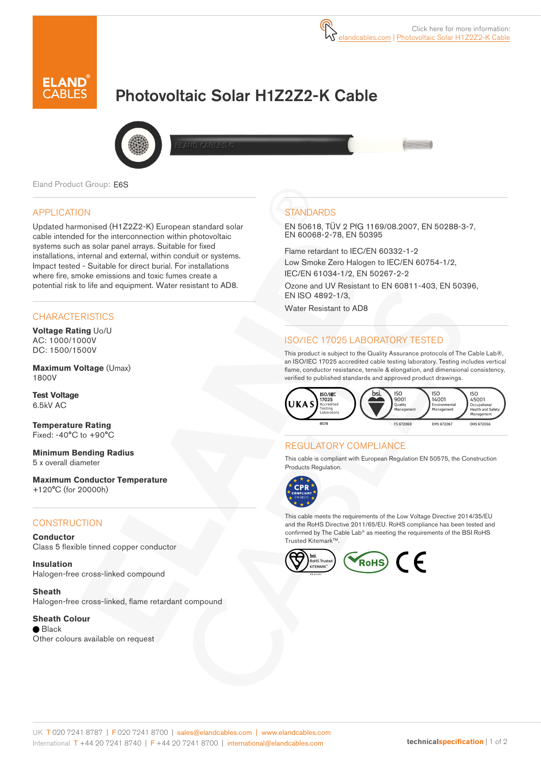

# Photovoltaic Solar H1Z2Z2-K Cable



Eland Product Group: E6S

#### APPLICATION

Updated harmonised (H1Z2Z2-K) European standard solar cable intended for the interconnection within photovoltaic systems such as solar panel arrays. Suitable for fixed installations, internal and external, within conduit or systems. Impact tested - Suitable for direct burial. For installations where fire, smoke emissions and toxic fumes create a potential risk to life and equipment. Water resistant to AD8.

#### **CHARACTERISTICS**

**Voltage Rating** Uo/U AC: 1000/1000V DC: 1500/1500V

**Maximum Voltage** (Umax) 1800V

**Test Voltage**  6.5kV AC

**Temperature Rating** Fixed: -40°C to +90°C

**Minimum Bending Radius**  5 x overall diameter

**Maximum Conductor Temperature**  +120°C (for 20000h)

#### **CONSTRUCTION**

**Conductor** Class 5 flexible tinned copper conductor

**Insulation** Halogen-free cross-linked compound

**Sheath** Halogen-free cross-linked, flame retardant compound

**Sheath Colour**

 $\bullet$  Black Other colours available on request

### **STANDARDS**

EN 50618, TÜV 2 PfG 1169/08.2007, EN 50288-3-7, EN 60068-2-78, EN 50395

Flame retardant to IEC/EN 60332-1-2 Low Smoke Zero Halogen to IEC/EN 60754-1/2, IEC/EN 61034-1/2, EN 50267-2-2

Ozone and UV Resistant to EN 60811-403, EN 50396, EN ISO 4892-1/3,

Water Resistant to AD8

#### ISO/IEC 17025 LABORATORY TESTED

This product is subject to the Quality Assurance protocols of The Cable Lab®, an ISO/IEC 17025 accredited cable testing laboratory. Testing includes vertical flame, conductor resistance, tensile & elongation, and dimensional consistency, verified to published standards and approved product drawings.



#### REGULATORY COMPLIANCE

This cable is compliant with European Regulation EN 50575, the Construction Products Regulation.



This cable meets the requirements of the Low Voltage Directive 2014/35/EU and the RoHS Directive 2011/65/EU. RoHS compliance has been tested and confirmed by The Cable Lab® as meeting the requirements of the BSI RoHS Trusted Kitemark™.